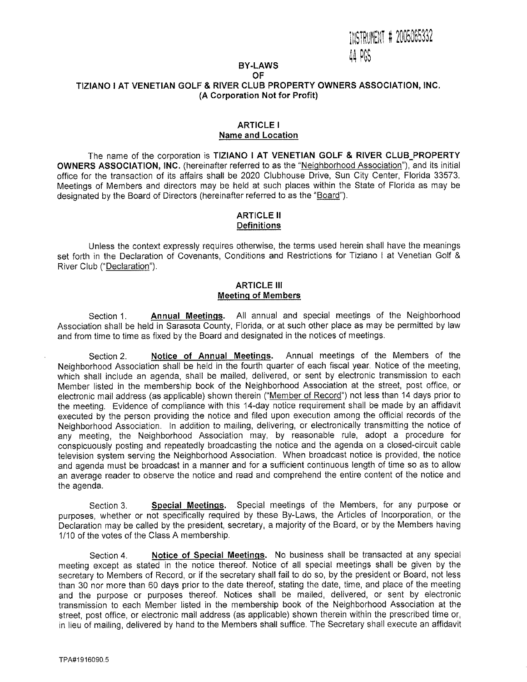# **BY-LAWS**

### **OF TIZIANO I AT VENETIAN GOLF & RIVER CLUB PROPERTY OWNERS ASSOCIATION, INC. (A Corporation Not for Profit)**

#### **ARTICLE I Name and Location**

The name of the corporation is **TIZIANO I AT VENETIAN GOLF & RIVER CLUB\_PROPERTY OWNERS ASSOCIATION, INC.** (hereinafter referred to as the "Neighborhood Association"), and its initial office for the transaction of its affairs shall be 2020 Clubhouse Drive, Sun City Center, Florida 33573. Meetings of Members and directors may be held at such places within the State of Florida as may be designated by the Board of Directors (hereinafter referred to as the "Board").

### **ARTICLE ll Definitions**

Unless the context expressly requires otherwise, the terms used herein shall have the meanings set forth in the Declaration of Covenants, Conditions and Restrictions for Tiziano I at Venetian Golf & River Club ("Declaration").

### **ARTICLE III Meeting of Members**

Section 1. **Annual Meetings.** All annual and special meetings of the Neighborhood Association shall be held in Sarasota County, Florida, or at such other place as may be permitted by law and from time to time as fixed by the Board and designated in the notices of meetings.

Section 2. **Notice of Annual Meetings.** Annual meetings of the Members of the Neighborhood Association shall be held in the fourth quarter of each fiscal year. Notice of the meeting, which shall include an agenda, shall be mailed, delivered, or sent by electronic transmission to each Member listed in the membership book of the Neighborhood Association at the street, post office, or electronic mail address (as applicable) shown therein ("Member of Record") not less than 14 days prior to the meeting. Evidence of compliance with this 14-day notice requirement shall be made by an affidavit executed by the person providing the notice and filed upon execution among the official records of the Neighborhood Association. In addition to mailing, delivering, or electronically transmitting the notice of any meeting, the Neighborhood Association may, by reasonable rule, adopt a procedure for conspicuously posting and repeatedly broadcasting the notice and the agenda on a closed-circuit cable television system serving the Neighborhood Association. When broadcast notice is provided, the notice and agenda must be broadcast in a manner and for a sufficient continuous length of time so as to allow an average reader to observe the notice and read and comprehend the entire content of the notice and the agenda.

Section 3. **Special Meetings.** Special meetings of the Members, for any purpose or purposes, whether or not specifically required by these By-Laws, the Articles of Incorporation, or the Declaration may be called by the president, secretary, a majority of the Board, or by the Members having 1/10 of the votes of the Class A membership.

Section 4. **Notice of Special Meetings.** No business shall be transacted at any special meeting except as stated in the notice thereof. Notice of all special meetings shall be given by the secretary to Members of Record, or if the secretary shall fail to do so, by the president or Board, not less than 30 nor more than 60 days prior to the date thereof, stating the date, time, and place of the meeting and the purpose or purposes thereof. Notices shall be mailed, delivered, or sent by electronic transmission to each Member listed in the membership book of the Neighborhood Association at the street, post office, or electronic mail address (as applicable) shown therein within the prescribed time or, in lieu of mailing, delivered by hand to the Members shall suffice. The Secretary shall execute an affidavit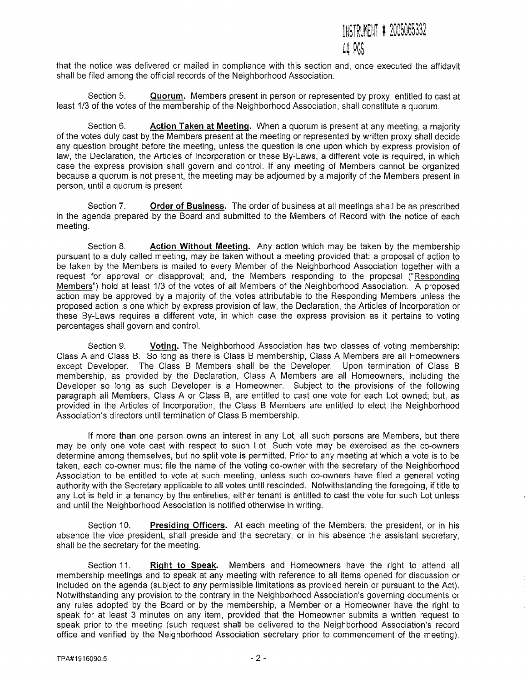# INSTRUMENT # 2005065332 '44 PGS

that the notice was delivered or mailed in compliance with this section and, once executed the affidavit shall be filed among the official records of the Neighborhood Association.

Section 5. **Quorum.** Members present in person or represented by proxy, entitled to cast at least 1/3 of the votes of the membership of the Neighborhood Association, shall constitute a quorum.

Section 6. **Action Taken at Meeting.** When a quorum is present at any meeting, a majority of the votes duly cast by the Members present at the meeting or represented by written proxy shall decide any question brought before the meeting, unless the question is one upon which by express provision of law, the Declaration, the Articles of Incorporation or these By-Laws, a different vote is required, in which case the express provision shall govern and control. If any meeting of Members cannot be organized because a quorum is not present, the meeting may be adjourned by a majority of the Members present in person, until a quorum is present

Section 7. **Order of Business.** The order of business at all meetings shall be as prescribed in the agenda prepared by the Board and submitted to the Members of Record with the notice of each meeting.

Section 8. **Action Without Meeting.** Any action which may be taken by the membership pursuant to a duly called meeting, may be taken without a meeting provided that: a proposal of action to be taken by the Members is mailed to every Member of the Neighborhood Association together with a request for approval or disapproval; and, the Members responding to the proposal ("Responding Members")hold at least 1/3 of the votes of all Members of the Neighborhood Association. A proposed action may be approved by a majority of the votes attributable to the Responding Members unless the proposed action is one which by express provision of law, the Declaration, the Articles of Incorporation or these By-Laws requires a different vote, in which case the express provision as it pertains to voting percentages shall govern and control.

Section 9. **Voting.** The Neighborhood Association has two classes of voting membership: Class A and Class B. So long as there is Class B membership, Class A Members are all Homeowners except Developer. The Class B Members shall be the Developer. Upon termination of Class B membership, as provided by the Declaration, Class A Members are all Homeowners, including the Developer so long as such Developer is a Homeowner. Subject to the provisions of the following paragraph all Members, Class A or Class B, are entitled to cast one vote for each Lot owned; but, as provided in the Articles of Incorporation, the Class B Members are entitled to elect the Neighborhood Association's directors until termination of Class B membership.

If more than one person owns an interest in any Lot, all such persons are Members, but there may be only one vote cast with respect to such Lot. Such vote may be exercised as the co-owners determine among themselves, but no split vote is permitted. Prior to any meeting at which a vote is to be taken, each co-owner must file the name of the voting co-owner with the secretary of the Neighborhood Association to be entitled to vote at such meeting, unless such co-owners have filed a general voting authority with the Secretary applicable to all votes until rescinded. Notwithstanding the foregoing, if title to any Lot is held in a tenancy by the entireties, either tenant is entitled to cast the vote for such Lot unless and until the Neighborhood Association is notified otherwise in writing.

Section 10. **Presiding Officers.** At each meeting of the Members, the president, or in his absence the vice president, shall preside and the secretary, or in his absence the assistant secretary, shall be the secretary for the meeting.

Section 11. **Right to Speak.** Members and Homeowners have the right to attend all membership meetings and to speak at any meeting with reference to all items opened for discussion or included on the agenda (subject to any permissible limitations as provided herein or pursuant to the Act). Notwithstanding any provision to the contrary in the Neighborhood Association's governing documents or any rules adopted by the Board or by the membership, a Member or a Homeowner have the right to speak for at least 3 minutes on any item, provided that the Homeowner submits a written request to speak prior to the meeting (such request shall be delivered to the Neighborhood Association's record office and verified by the Neighborhood Association secretary prior to commencement of the meeting).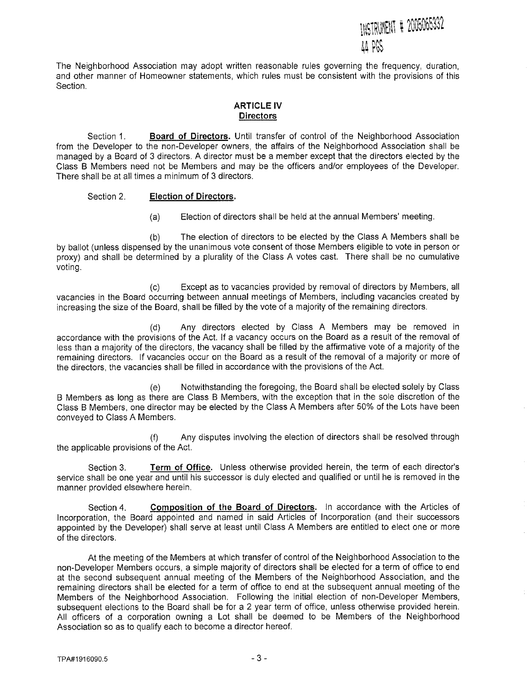# INSTRUMENT # 2005065332 AA PGS.

The Neighborhood Association may adopt written reasonable rules governing the frequency, duration, and other manner of Homeowner statements, which rules must be consistent with the provisions of this Section.

# **ARTICLE IV Directors**

Section 1. **Board of Directors.** Until transfer of control of the Neighborhood Association from the Developer to the non-Developer owners, the affairs of the Neighborhood Association shall be managed by a Board of 3 directors. A director must be a member except that the directors elected by the Class **B** Members need not be Members and may be the officers and/or employees of the Developer. There shall be at all times a minimum of 3 directors.

### Section 2. **Election of Directors.**

(a) Election of directors shall be held at the annual Members' meeting.

(b) The election of directors to be elected by the Class A Members shall be by ballot (unless dispensed by the unanimous vote consent of those Members eligible to vote in person or proxy) and shall be determined by a plurality of the Class A votes cast. There shall be no cumulative voting.

(c) Except as to vacancies provided by removal of directors by Members, all vacancies in the Board occurring between annual meetings of Members, including vacancies created by increasing the size of the Board, shall be filled by the vote of a majority of the remaining directors.

(d) Any directors elected by Class A Members may be removed in accordance with the provisions of the Act. If a vacancy occurs on the Board as a result of the removal of less than a majority of the directors, the vacancy shall be filled by the affirmative vote of a majority of the remaining directors. If vacancies occur on the Board as a result of the removal of a majority or more of the directors, the vacancies shall be filled in accordance with the provisions of the Act.

(e) Notwithstanding the foregoing, the Board shall be elected solely by Class B Members as long as there are Class B Members, with the exception that in the sole discretion of the Class B Members, one director may be elected by the Class A Members after 50% of the Lots have been conveyed to Class A Members.

(f) Any disputes involving the election of directors shall be resolved through the applicable provisions of the Act.

Section 3, **Term of Office.** Unless otherwise provided herein, the term of each director's service shall be one year and until his successor is duly elected and qualified or until he is removed in the manner provided elsewhere herein.

Section 4. **Composition of the Board of Directors.** In accordance with the Articles of Incorporation, the Board appointed and named in said Articles of Incorporation (and their successors appointed by the Developer) shall serve at least until Class A Members are entitled to elect one or more of the directors.

At the meeting of the Members at which transfer of control of the Neighborhood Association to the non-Developer Members occurs, a simple majority of directors shall be elected for a term of office to end at the second subsequent annual meeting of the Members of the Neighborhood Association, and the remaining directors shall be elected for a term of office to end at the subsequent annual meeting of the Members of the Neighborhood Association. Following the initial election of non-Developer Members, subsequent elections to the Board shall be for a 2 year term of office, unless otherwise provided herein. All officers of a corporation owning a Lot shall be deemed to be Members of the Neighborhood Association so as to qualify each to become a director hereof.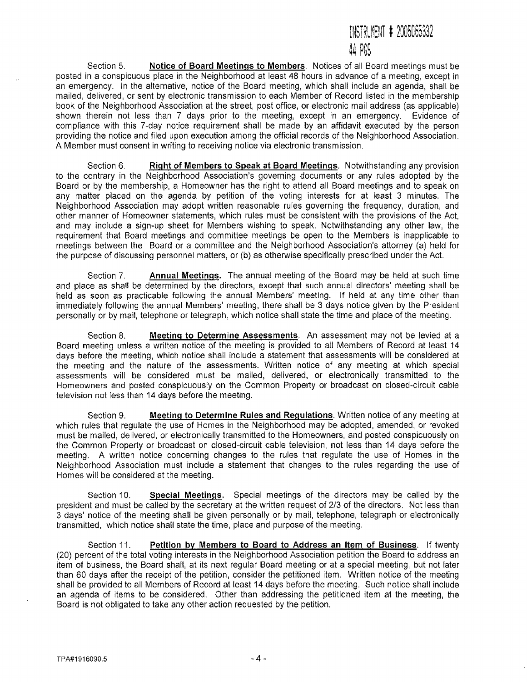# INSTRUMENT # 2005065332 4 R;S

Section 5. **Notice of Board Meetings to Members.** Notices of all Board meetings must be posted in a conspicuous place in the Neighborhood at least 48 hours in advance of a meeting, except in an emergency. In the alternative, notice of the Board meeting, which shall include an agenda, shall be mailed, delivered, or sent by electronic transmission to each Member of Record listed in the membership book of the Neighborhood Association at the street, post office, or electronic mail address (as applicable) shown therein not less than 7 days prior to the meeting, except in an emergency. Evidence of compliance with this 7-day notice requirement shall be made by an affidavit executed by the person providing the notice and filed upon execution among the official records of the Neighborhood Association. A Member must consent in writing to receiving notice via electronic transmission.

Section 6. **Right of Members to Speak at Board Meetings.** Notwithstanding any provision to the contrary in the Neighborhood Association's governing documents or any rules adopted by the Board or by the membership, a Homeowner has the right to attend all Board meetings and to speak on any matter placed on the agenda by petition of the voting interests for at least 3 minutes. The Neighborhood Association may adopt written reasonable rules governing the frequency, duration, and other manner of Homeowner statements, which rules must be consistent with the provisions of the Act, and may include a sign-up sheet for Members wishing to speak. Notwithstanding any other law, the requirement that Board meetings and committee meetings be open to the Members is inapplicable to meetings between the Board or a committee and the Neighborhood Association's attorney (a) held for the purpose of discussing personnel matters, or (b) as otherwise specifically prescribed under the Act.

Section 7, **Annual Meetings.** The annual meeting of the Board may be held at such time and place as shall be determined by the directors, except that such annual directors' meeting shall be held as soon as practicable following the annual Members' meeting. If held at any time other than immediately following the annual Members' meeting, there shall be 3 days notice given by the President personally or by mail, telephone or telegraph, which notice shall state the time and place of the meeting.

Section 8. **Meeting to Determine Assessments.** An assessment may not be levied at a Board meeting unless a written notice of the meeting is provided to all Members of Record at least 14 days before the meeting, which notice shall include a statement that assessments will be considered at the meeting and the nature of the assessments. Written notice of any meeting at which special assessments will be considered must be mailed, delivered, or electronically transmitted to the Homeowners and posted conspicuously on the Common Property or broadcast on closed-circuit cable television not less than 14 days before the meeting.

Section 9. **Meeting to Determine Rules and Regulations.** Written notice of any meeting at which rules that regulate the use of Homes in the Neighborhood may be adopted, amended, or revoked must be mailed, delivered, or electronically transmitted to the Homeowners, and posted conspicuously on the Common Property or broadcast on closed-circuit cable television, not less than 14 days before the meeting. A written notice concerning changes to the rules that regulate the use of Homes in the Neighborhood Association must include a statement that changes to the rules regarding the use of Homes will be considered at the meeting.

Section 10. **Special Meetings.** Special meetings of the directors may be called by the president and must be called by the secretary at the written request of 2/3 of the directors. Not less than 3 days' notice of the meeting shall be given personally or by mail, telephone, telegraph or electronically transmitted, which notice shall state the time, place and purpose of the meeting.

Section 11. **Petition by Members to Board to Address an Item of Business.** If twenty (20) percent of the total voting interests in the Neighborhood Association petition the Board to address an item **of** business, the Board shall, at its next regular Board meeting or at a special meeting, but not later than 60 days after the receipt of the petition, consider the petitioned item. Written notice of the meeting shall be provided to all Members of Record at least 14 days before the meeting. Such notice shall include an agenda of items to be considered. Other than addressing the petitioned item at the meeting, the Board is not obligated to take any other action requested by the petition.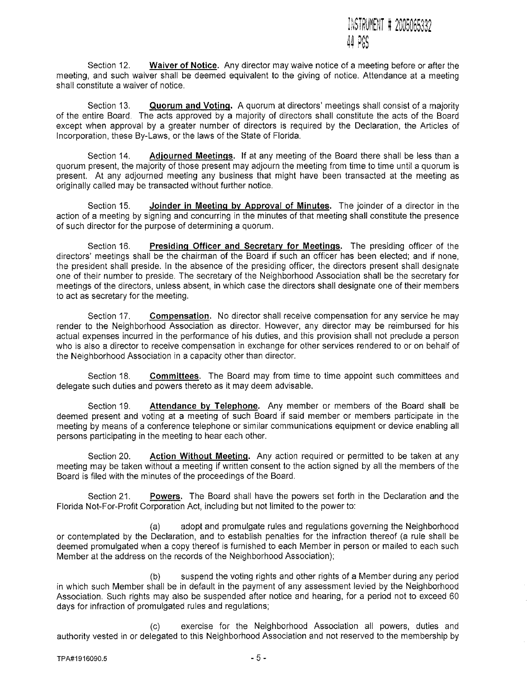

Section 12. **Waiver of Notice.** Any director may waive notice of a meeting before or after the meeting, and such waiver shall be deemed equivalent to the giving of notice. Attendance at a meeting shall constitute a waiver of notice.

Section 13. **Quorum and Voting.** A quorum at directors' meetings shall consist of a majority of the entire Board. The acts approved by **a** majority of directors shall constitute the acts of the Board except when approval by a greater number of directors is required by the Declaration, the Articles of Incorporation, these By-Laws, or the laws of the State of Florida.

Section 14. **Adjourned Meetings.If** at any meeting of the Board there shall be less than a quorum present, the majority of those present may adjourn the meeting from time to time until a quorum is present. At any adjourned meeting any business that might have been transacted at the meeting as originally called may be transacted without further notice.

Section 15. **Joinder in Meeting by Approval of Minutes.** The joinder of a director in the action of a meeting by signing and concurring in the minutes of that meeting shall constitute the presence of such director for the purpose of determining a quorum.

Section 16. **Presiding Officer and Secretary for Meetings.** The presiding officer of the directors' meetings shall be the chairman of the Board if such an officer has been elected; and if none, the president shall preside. In the absence of the presiding officer, the directors present shall designate one of their number to preside. The secretary of the Neighborhood Association shall be the secretary for meetings of the directors, unless absent, in which case the directors shall designate one of their members to act as secretary for the meeting.

Section 17. **Compensation.** No director shall receive compensation for any service he may render to the Neighborhood Association as director. However, any director may be reimbursed for his actual expenses incurred in the performance of his duties, and this provision shall not preclude a person who is also a director to receive compensation in exchange for other services rendered to or on behalf of the Neighborhood Association in a capacity other than director.

Section 18. **Committees.** The Board may from time to time appoint such committees and delegate such duties and powers thereto as it may deem advisable.

Section 19. **Attendance by Telephone.** Any member or members of the Board shall be deemed present and voting at **a** meeting of such Board if said member or members participate in the meeting by means of a conference telephone or similar communications equipment or device enabling all persons participating in the meeting to hear each other.

Section 20. **Action Without Meeting.** Any action required or permitted to be taken at any meeting may be taken without a meeting if written consent to the action signed by all the members of the Board is filed with the minutes of the proceedings of the Board.

Section 21. **Powers.** The Board shall have the powers set forth in the Declaration and the Florida Not-For-Profit Corporation Act, including but not limited to the power to:

(a) adopt and promulgate rules and regulations governing the Neighborhood or contemplated by the Declaration, and to establish penalties for the infraction thereof (a rule shall be deemed promulgated when a copy thereof is furnished to each Member in person or mailed to each such Member at the address on the records of the Neighborhood Association);

(b) suspend the voting rights and other rights of a Member during any period in which such Member shall be in default in the payment of any assessment levied by the Neighborhood Association. Such rights may also be suspended after notice and hearing, for a period not to exceed 60 days for infraction of promulgated rules and regulations;

(C) exercise for the Neighborhood Association all powers, duties and authority vested in or delegated to this Neighborhood Association and not reserved to the membership by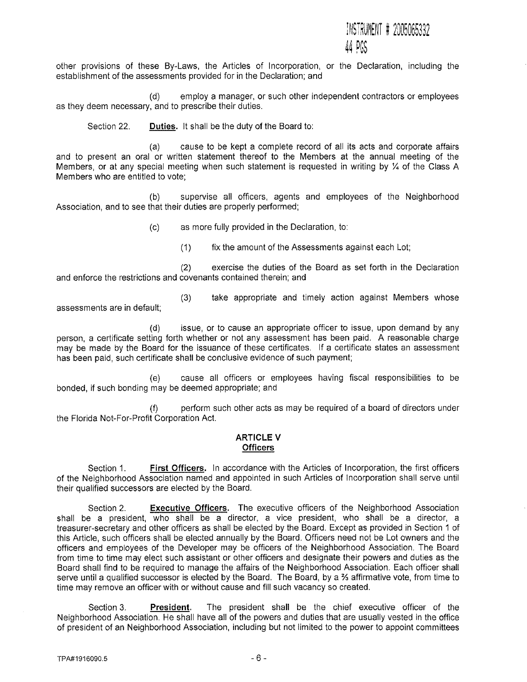# INSTRUMENT # 2005065332 rw.

other provisions of these By-Laws, the Articles of Incorporation, or the Declaration, including the establishment of the assessments provided for in the Declaration; and

(d) employ a manager, or such other independent contractors or employees as they deem necessary, and to prescribe their duties.

Section 22. **Duties.** It shall be the duty **of** the Board to:

(a) cause to be kept a complete record of all its acts and corporate affairs and to present an oral or written statement thereof to the Members at the annual meeting of the Members, or at any special meeting when such statement is requested in writing by  $\frac{1}{4}$  of the Class A Members who are entitled to vote;

(b) supervise all officers, agents and employees of the Neighborhood Association, and to see that their duties are properly performed;

(c) as more fully provided in the Declaration, to:

(1) fix the amount of the Assessments against each Lot;

(2) exercise the duties of the Board as set forth in the Declaration and enforce the restrictions and covenants contained therein; and

assessments are in default;

(3) take appropriate and timely action against Members whose

(d) issue, or to cause an appropriate officer to issue, upon demand by any person, a certificate setting forth whether or not any assessment has been paid. A reasonable charge may be made by the Board for the issuance of these certificates. If a certificate states an assessment has been paid, such certificate shall be conclusive evidence of such payment;

(e) cause all officers or employees having fiscal responsibilities to be bonded, if such bonding may be deemed appropriate; and

(f) perform such other acts as may be required of a board of directors under the Florida Not-For-Profit Corporation Act.

#### **ARTICLE V Officers**

Section 1. **First Officers.** In accordance with the Articles of Incorporation, the first officers of the Neighborhood Association named and appointed in such Articles of Incorporation shall serve until their qualified successors are elected by the Board.

Section 2. **Executive Officers.** The executive officers of the Neighborhood Association shall be a president, who shall be a director, a vice president, who shall be a director, a treasurer-secretary and other officers as shall be elected by the Board. Except as provided in Section 1 of this Article, such officers shall be elected annually by the Board. Officers need not be Lot owners and the officers and employees of the Developer may be officers of the Neighborhood Association. The Board from time to time may elect such assistant or other officers and designate their powers and duties as the Board shall find to be required to manage the affairs of the Neighborhood Association. Each officer shall serve until a qualified successor is elected by the Board. The Board, by a % affirmative vote, from time to time may remove an officer with or without cause and fill such vacancy so created.

Section 3. **President.** The president shall be the chief executive officer of the Neighborhood Association. He shall have all of the powers and duties that are usually vested in the office of president of an Neighborhood Association, including but not limited to the power to appoint committees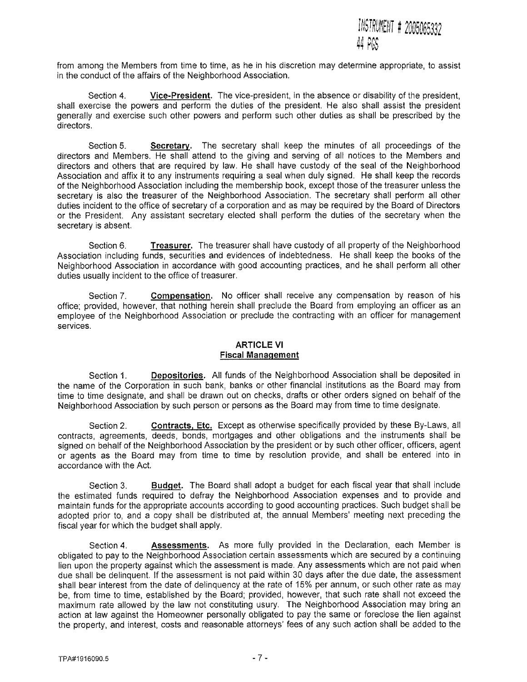

from among the Members from time to time, as he in his discretion may determine appropriate, to assist in the conduct of the affairs of the Neighborhood Association,

Section 4. Vice-President. The vice-president, in the absence or disability of the president, shall exercise the powers and perform the duties of the president. He also shall assist the president generally and exercise such other powers and perform such other duties as shall be prescribed by the directors.

Section 5. Secretary. The secretary shall keep the minutes of all proceedings of the directors and Members. He shall attend to the giving and serving of all notices to the Members and directors and others that are required by law. He shall have custody of the seal of the Neighborhood Association and affix it to any instruments requiring a seal when duly signed. He shall keep the records of the Neighborhood Association including the membership book, except those of the treasurer unless the secretary is also the treasurer of the Neighborhood Association. The secretary shall perform all other duties incident to the office of secretary of a corporation and as may be required by the Board of Directors or the President. Any assistant secretary elected shall perform the duties of the secretary when the secretary is absent.

Section 6. Treasurer. The treasurer shall have custody of all property of the Neighborhood Association including funds, securities and evidences of indebtedness. He shall keep the books of the Neighborhood Association in accordance with good accounting practices, and he shall perform all other duties usually incident to the office of treasurer.

Section 7. Compensation, No officer shall receive any compensation by reason of his office; provided, however, that nothing herein shall preclude the Board from employing an officer as an employee of the Neighborhood Association or preclude the contracting with an officer for management services.

# ARTICLE VI Fiscal Management

Section 1. Depositories. All funds of the Neighborhood Association shall be deposited in the name of the Corporation in such bank, banks or other financial institutions as the Board may from time to time designate, and shall be drawn out on checks, drafts or other orders signed on behalf of the Neighborhood Association by such person or persons as the Board may from time to time designate.

Section 2. Contracts, Etc. Except as otherwise specifically provided by these By-Laws, all contracts, agreements, deeds, bonds, mortgages and other obligations and the instruments shall be signed on behalf of the Neighborhood Association by the president or by such other officer, officers, agent or agents as the Board may from time to time by resolution provide, and shall be entered into in accordance with the Act.

Section 3. Budget. The Board shall adopt a budget for each fiscal year that shall include the estimated funds required to defray the Neighborhood Association expenses and to provide and maintain funds for the appropriate accounts according to good accounting practices. Such budget shall be adopted prior to, and a copy shall be distributed at, the annual Members' meeting next preceding the fiscal year for which the budget shall apply.

Section 4. Assessments. As more fully provided in the Declaration, each Member is obligated to pay to the Neighborhood Association certain assessments which are secured by a continuing lien upon the property against which the assessment is made. Any assessments which are not paid when due shall be delinquent. If the assessment is not paid within 30 days after the due date, the assessment shall bear interest from the date of delinquency at the rate of 15% per annum, or such other rate as may be, from time to time, established by the Board; provided, however, that such rate shall not exceed the maximum rate allowed by the law not constituting usury. The Neighborhood Association may bring an action at law against the Homeowner personally obligated to pay the same or foreclose the lien against the property, and interest, costs and reasonable attorneys' fees of any such action shall be added to the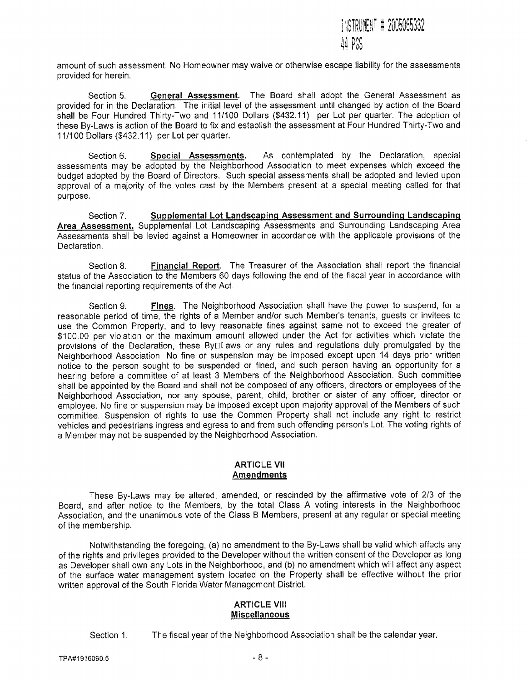

amount of such assessment. No Homeowner may waive or otherwise escape liability for the assessments provided for herein.

Section 5. **General Assessment.** The Board shall adopt the General Assessment as provided for in the Declaration. The initial level of the assessment until changed by action of the Board shall be Four Hundred Thirty-Two and 11/100 Dollars (\$432.11) per Lot per quarter. The adoption of these By-Laws is action of the Board to fix and establish the assessment at Four Hundred Thirty-Two and 11/100 Dollars (\$432.11) per Lot per quarter.

Section 6. **Special Assessments.** As contemplated by the Declaration, special assessments may be adopted by the Neighborhood Association to meet expenses which exceed the budget adopted by the Board of Directors. Such special assessments shall be adopted and levied upon approval of a majority of the votes cast by the Members present at a special meeting called for that purpose.

Section 7. **Supplemental Lot Landscaping Assessment and Surrounding Landscaping Area Assessment.** Supplemental Lot Landscaping Assessments and Surrounding Landscaping Area Assessments shall be levied against a Homeowner in accordance with the applicable provisions of the Declaration,

Section 8. **Financial Report.** The Treasurer of the Association shall report the financial status of the Association to the Members 60 days following the end of the fiscal year in accordance with the financial reporting requirements of the Act.

Section 9, **Fines.** The Neighborhood Association shall have the power to suspend, for a reasonable period of time, the rights of a Member and/or such Member's tenants, guests or invitees to use the Common Property, and to levy reasonable fines against same not to exceed the greater of \$100.00 per violation or the maximum amount allowed under the Act for activities which violate the provisions of the Declaration, these By<sub>E</sub>Laws or any rules and regulations duly promulgated by the Neighborhood Association, No fine or suspension may be imposed except upon 14 days prior written notice to the person sought to be suspended or fined, and such person having an opportunity for a hearing before a committee of at least 3 Members of the Neighborhood Association. Such committee shall be appointed by the Board and shall not be composed of any officers, directors or employees of the Neighborhood Association, nor any spouse, parent, child, brother or sister of any officer, director or employee. No fine or suspension may be imposed except upon majority approval of the Members of such committee. Suspension of rights to use the Common Property shall not include any right to restrict vehicles and pedestrians ingress and egress to and from such offending person's Lot. The voting rights of a Member may not be suspended by the Neighborhood Association.

### **ARTICLE VII Amendments**

These By-Laws may be altered, amended, or rescinded by the affirmative vote of 2/3 of the Board, and after notice to the Members, by the total Class A voting interests in the Neighborhood Association, and the unanimous vote of the Class B Members, present at any regular or special meeting of the membership.

Notwithstanding the foregoing, (a) no amendment to the By-Laws shall be valid which affects any of the rights and privileges provided to the Developer without the written consent of the Developer as long as Developer shall own any Lots in the Neighborhood, and (b) no amendment which will affect any aspect of the surface water management system located on the Property shall be effective without the prior written approval of the South Florida Water Management District.

#### **ARTICLE VIII Miscellaneous**

Section 1. The fiscal year of the Neighborhood Association shall be the calendar year.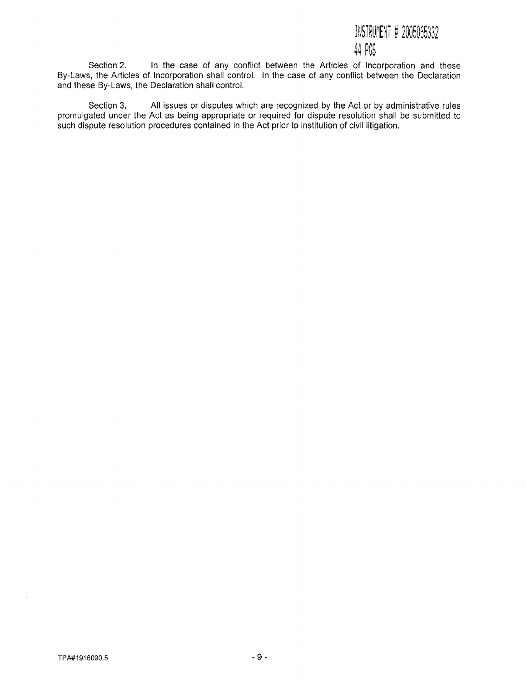# INSTRUMENT # 2005065332 44 PGS

Section 2. In the case of any conflict between the Articles of Incorporation and these By-Laws, the Articles of Incorporation shall control. In the case of any conflict between the Declaration and these By-Laws, the Declaration shall control.

Section 3. All issues or disputes which are recognized by the Act or by administrative rules promulgated under the Act as being appropriate or required for dispute resolution shall be submitted to such dispute resolution procedures contained in the Act prior to institution of civil litigation.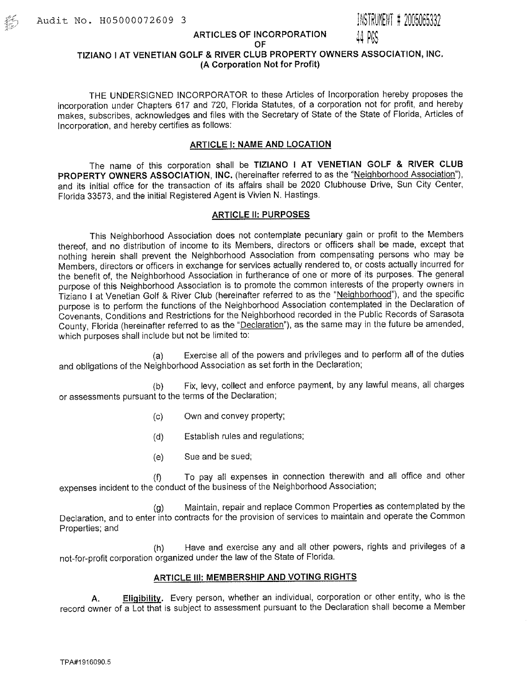葯

# **ARTICLES OF INCORPORATION** 44 PCS

# **TIZIANO** I **AT VENETIAN GOLF & RIVER CLUB PROPERTY OWNERS ASSOCIATION, INC. (A Corporation Not for Profit)**

THE UNDERSIGNED INCORPORATOR to these Articles of Incorporation hereby proposes the incorporation under Chapters 617 and 720, Florida Statutes, of a corporation not for profit, and hereby makes, subscribes, acknowledges and files with the Secretary of State of the State of Florida, Articles of Incorporation, and hereby certifies as follows:

# **ARTICLE** 1: **NAME AND LOCATION**

The name of this corporation shall be **TIZIANO I AT VENETIAN GOLF & RIVER CLUB PROPERTY OWNERS ASSOCIATION, INC.** (hereinafter referred to as the "Neighborhood Association"), and its initial office for the transaction of its affairs shall be 2020 Clubhouse Drive, Sun City Center, Florida 33573, and the initial Registered Agent is Vivien N. Hastings.

### **ARTICLE II: PURPOSES**

This Neighborhood Association does not contemplate pecuniary gain or profit to the Members thereof, and no distribution of income to its Members, directors or officers shall be made, except that nothing herein shall prevent the Neighborhood Association from compensating persons who may be Members, directors or officers in exchange for services actually rendered to, or costs actually incurred for the benefit of, the Neighborhood Association in furtherance of one or more of its purposes. The general purpose of this Neighborhood Association is to promote the common interests of the property owners in Tiziano I at Venetian Golf & River Club (hereinafter referred to as the "Neighborhood"), and the specific purpose is to perform the functions of the Neighborhood Association contemplated in the Declaration of Covenants, Conditions and Restrictions for the Neighborhood recorded in the Public Records of Sarasota County, Florida (hereinafter referred to as the "Declaration"), as the same may in the future be amended, which purposes shall include but not be limited to:

(a) Exercise all of the powers and privileges and to perform all of the duties and obligations of the Neighborhood Association as set forth in the Declaration;

(b) Fix, levy, collect and enforce payment, by any lawful means, all charges or assessments pursuant to the terms of the Declaration;

- (c) Own and convey property;
- (d) Establish rules and regulations;
- (e) Sue and be sued;

(f) To pay all expenses in connection therewith and all office and other expenses incident to the conduct of the business of the Neighborhood Association;

(g) Maintain, repair and replace Common Properties as contemplated by the Declaration, and to enter into contracts for the provision of services to maintain and operate the Common Properties; and

(11) Have and exercise any and all other powers, rights and privileges of a not-for-profit corporation organized under the law of the State of Florida.

### **ARTICLE III: MEMBERSHIP AND VOTING RIGHTS**

**A. Eligibility.** Every person, whether an individual, corporation or other entity, who is the record owner of a Lot that is subject to assessment pursuant to the Declaration shall become a Member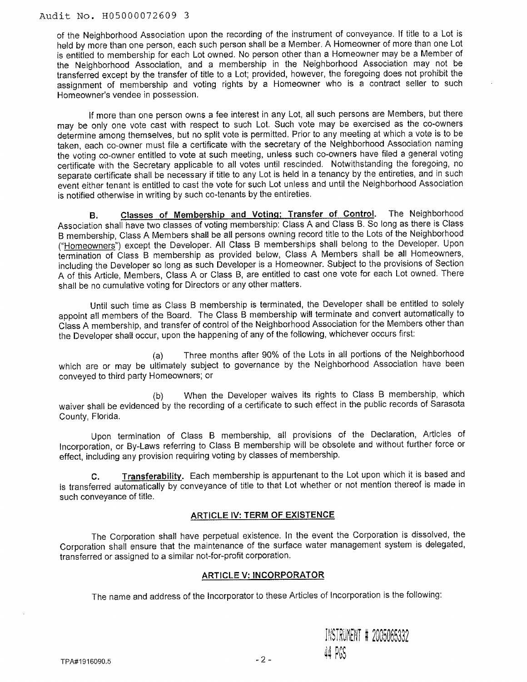of the Neighborhood Association upon the recording of the instrument of conveyance. If title to a Lot is held by more than one person, each such person shall be a Member. A Homeowner of more than one Lot is entitled to membership for each Lot owned. No person other than a Homeowner may be a Member of the Neighborhood Association, and a membership in the Neighborhood Association may not be transferred except by the transfer of title to a Lot; provided, however, the foregoing does not prohibit the assignment of membership and voting rights by a Homeowner who is a contract seller to such Homeowner's vendee in possession.

If more than one person owns a fee interest in any Lot, all such persons are Members, but there may be only one vote cast with respect to such Lot. Such vote may be exercised as the co-owners determine among themselves, but no split vote is permitted. Prior to any meeting at which a vote is to be taken, each co-owner must file a certificate with the secretary of the Neighborhood Association naming the voting co-owner entitled to vote at such meeting, unless such co-owners have filed a general voting certificate with the Secretary applicable to all votes until rescinded. Notwithstanding the foregoing, no separate certificate shall be necessary if title to any Lot is held in a tenancy by the entireties, and in such event either tenant is entitled to cast the vote for such Lot unless and until the Neighborhood Association is notified otherwise in writing by such co-tenants by the entireties.

**B. Classes of Membership and Voting; Transfer of Control.** The Neighborhood Association shall have two classes of voting membership: Class A and Class B. So long as there is Class B membership, Class A Members shall be all persons owning record title to the Lots of the Neighborhood ("Homeowners") except the Developer. All Class B memberships shall belong to the Developer. Upon termination of Class B membership as provided below, Class A Members shall be all Homeowners, including the Developer so long as such Developer is a Homeowner. Subject to the provisions of Section A of this Article, Members, Class A or Class B, are entitled to cast one vote for each Lot owned. There shall be no cumulative voting for Directors or any other matters.

Until such time as Class B membership is terminated, the Developer shall be entitled to solely appoint all members of the Board. The Class B membership will terminate and convert automatically to Class A membership, and transfer of control of the Neighborhood Association for the Members other than the Developer shall occur, upon the happening of any of the following, whichever occurs first:

(a) Three months after 90% of the Lots in all portions of the Neighborhood which are or may be ultimately subject to governance by the Neighborhood Association have been conveyed to third party Homeowners; or

(b) When the Developer waives its rights to Class B membership, which waiver shall be evidenced by the recording of a certificate to such effect in the public records of Sarasota County, Florida.

Upon termination of Class B membership, all provisions of the Declaration, Articles of Incorporation, or By-Laws referring to Class B membership will be obsolete and without further force or effect, including any provision requiring voting by classes of membership.

**C. Transferability.** Each membership is appurtenant to the Lot upon which it is based and is transferred automatically by conveyance of title to that Lot whether or not mention thereof is made in such conveyance of title.

# **ARTICLE IV: TERM OF EXISTENCE**

The Corporation shall have perpetual existence. In the event the Corporation is dissolved, the Corporation shall ensure that the maintenance of the surface water management system is delegated, transferred or assigned to a similar not-for-profit corporation.

# **ARTICLE V: INCORPORATOR**

The name and address of the Incorporator to these Articles of Incorporation is the following:

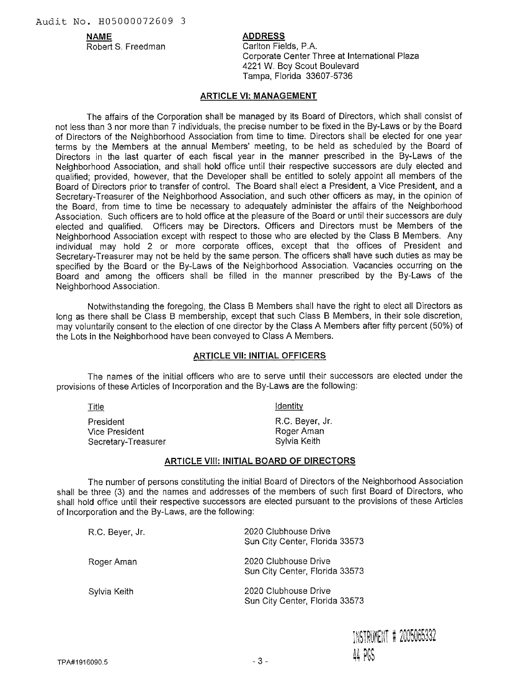Robert S. Freedman Carlton Fields, P.A.

# **NAME** ADDRESS

Corporate Center Three at International Plaza 4221 W. Boy Scout Boulevard Tampa, Florida 33607-5736

### **ARTICLE VI: MANAGEMENT**

The affairs of the Corporation shall be managed by its Board of Directors, which shall consist of not less than 3 nor more than 7 individuals, the precise number to be fixed in the By-Laws or by the Board of Directors of the Neighborhood Association from time to time. Directors shall be elected for one year terms by the Members at the annual Members' meeting, to be held as scheduled by the Board of Directors in the last quarter of each fiscal year in the manner prescribed in the By-Laws of the Neighborhood Association, and shall hold office until their respective successors are duly elected and qualified; provided, however, that the Developer shall be entitled to solely appoint all members of the Board of Directors prior to transfer of control. The Board shall elect a President, a Vice President, and a Secretary-Treasurer of the Neighborhood Association, and such other officers as may, in the opinion of the Board, from time to time be necessary to adequately administer the affairs of the Neighborhood Association. Such officers are to hold office at the pleasure of the Board or until their successors are duly elected and qualified. Officers may be Directors. Officers and Directors must be Members of the Neighborhood Association except with respect to those who are elected by the Class B Members. Any individual may hold 2 or more corporate offices, except that the offices of President and Secretary-Treasurer may not be held by the same person. The officers shall have such duties as may be specified by the Board or the By-Laws of the Neighborhood Association. Vacancies occurring on the Board and among the officers shall be filled in the manner prescribed by the By-Laws of the Neighborhood Association.

Notwithstanding the foregoing, the Class B Members shall have the right to elect all Directors as long as there shall be Class B membership, except that such Class **B** Members, in their sole discretion, may voluntarily consent to the election of one director by the Class A Members after fifty percent (50%) of the Lots in the Neighborhood have been conveyed to Class A Members.

### **ARTICLE VII: INITIAL OFFICERS**

The names of the initial officers who are to serve until their successors are elected under the provisions of these Articles of Incorporation and the By-Laws are the following:

| <u>Title</u>        | <b>Identity</b> |  |  |
|---------------------|-----------------|--|--|
| President           | R.C. Beyer, Jr. |  |  |
| Vice President      | Roger Aman      |  |  |
| Secretary-Treasurer | Sylvia Keith    |  |  |

#### **ARTICLE VIII: INITIAL BOARD OF DIRECTORS**

The number of persons constituting the initial Board of Directors of the Neighborhood Association shall be three (3) and the names and addresses of the members of such first Board of Directors, who shall hold office until their respective successors are elected pursuant to the provisions of these Articles of Incorporation and the By-Laws, are the following:

| R.C. Beyer, Jr. | 2020 Clubhouse Drive<br>Sun City Center, Florida 33573 |
|-----------------|--------------------------------------------------------|
| Roger Aman      | 2020 Clubhouse Drive<br>Sun City Center, Florida 33573 |
| Sylvia Keith    | 2020 Clubhouse Drive<br>Sun City Center, Florida 33573 |

INSTRUMENT # 2005065332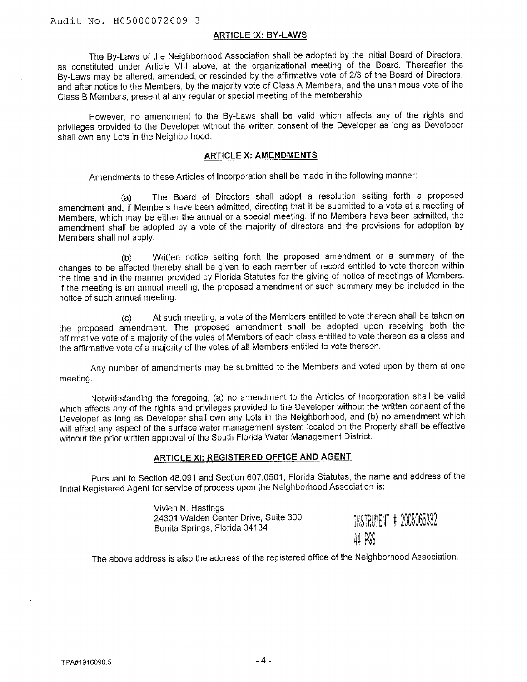#### ARTICLE IX: BY-LAWS

The By-Laws of the Neighborhood Association shall be adopted by the initial Board of Directors, as constituted under Article VIII above, at the organizational meeting of the Board. Thereafter the By-Laws may be altered, amended, or rescinded by the affirmative vote of 2/3 of the Board of Directors, and after notice to the Members, by the majority vote of Class A Members, and the unanimous vote of the Class B Members, present at any regular or special meeting of the membership.

However, no amendment to the By-Laws shall be valid which affects any of the rights and privileges provided to the Developer without the written consent of the Developer as long as Developer shall own any Lots in the Neighborhood.

#### **ARTICLE X: AMENDMENTS**

Amendments to these Articles of Incorporation shall be made in the following manner:

The Board of Directors shall adopt a resolution setting forth a proposed amendment and, if Members have been admitted, directing that it be submitted to a vote at a meeting of Members, which may be either the annual or a special meeting. If no Members have been admitted, the amendment shall be adopted by a vote of the majority of directors and the provisions for adoption by Members shall not apply.

(b) Written notice setting forth the proposed amendment or a summary of the changes to be affected thereby shall be given to each member of record entitled to vote thereon within the time and in the manner provided by Florida Statutes for the giving of notice of meetings of Members. If the meeting is an annual meeting, the proposed amendment or such summary may be included in the notice of such annual meeting.

(c) At such meeting, a vote of the Members entitled to vote thereon shall be taken on the proposed amendment. The proposed amendment shall be adopted upon receiving both the affirmative vote of a majority of the votes of Members of each class entitled to vote thereon as a class and the affirmative vote of a majority of the votes of all Members entitled to vote thereon.

Any number of amendments may be submitted to the Members and voted upon by them at one meeting.

Notwithstanding the foregoing, (a) no amendment to the Articles of Incorporation shall be valid which affects any of the rights and privileges provided to the Developer without the written consent of the Developer as long as Developer shall own any Lots in the Neighborhood, and (b) no amendment which will affect any aspect of the surface water management system located on the Property shall be effective without the prior written approval of the South Florida Water Management District.

# **ARTICLE XI: REGISTERED OFFICE AND AGENT**

Pursuant to Section 48.091 and Section 607.0501, Florida Statutes, the name and address of the Initial Registered Agent for service of process upon the Neighborhood Association is:

| Vivien N. Hastings                   |                         |  |
|--------------------------------------|-------------------------|--|
| 24301 Walden Center Drive, Suite 300 | INSTRUMENT # 2005065332 |  |
| Bonita Springs, Florida 34134        |                         |  |
|                                      | 44 PGS                  |  |
|                                      |                         |  |

The above address is also the address of the registered office of the Neighborhood Association.